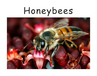# Honeybees

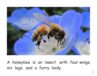

A honeybee is an insectwith four wings, six legs, and a furry body.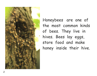

Honeybeesare one of the most common kinds of bees. They live in hives. Bees lay eggs, store food and make honey inside their hive.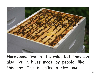

Honeybees live in the wild, but they can also live in hives made by people, like this one. This is called a hive box.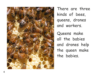

There are three kinds of bees, queens, drones and workers.

Queens make all the babies and drones help the queen make the babies.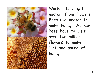

Worker bees get nectarfrom flowers. Bees use nectar to make honey. Worker bees have to visit over two million flowers to make just one pound of honey!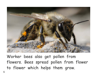

Worker bees also get pollen from flowers. Bees spread pollen from flower to flower which helps them grow.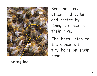

dancing bee

Bees help each other find pollen and nectar by doing a dance in their hive.

The bees listen to the dance with tiny hairs on their heads.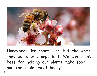

Honeybees live short lives, but the work they do is very important. We can thank bees for helping our plants make food and for their sweet honey!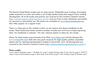The Mustard Seed Books project uses an open-source, Wikipedia-type strategy, leveraging public expertise to create and refine a set of high-quality books that support early reading development. All of the books and pictures are covered by the Creative Commons License (http://creativecommons.org/licenses/by-nc-sa/3.0/ ) and are free to print, distribute, and modify for personal or educational use. The books are available at www.mustardseedbooks.org. New titles appear on a regular basis.

There is a blog post on the website so that we can receive and discuss feedback on the books. These books have been revised a number of times, but we'd love to keep improving them. Any feedback is welcome. We also welcome photos or ideas for new books.

Photos for these books come primarily from Flickr (www.flickr.com) and the Morgue File (www.morguefile.com). Both sites are great resources for high-quality publicly accessible photos and for aspiring photographers looking to share their work. All photographs are covered by the Creative Commons License (http://creativecommons.org/licenses/by-nc-sa/3.0/ ).

#### **Photo credits:**

Cover: Antonio Machado; page 1: "Kunihiko N."; page 2: Angie Shyrigh; page 3: Susy Morris; page 4: "dni777"; page 5: Stavros Markopoulos; page 6: Allan Hack, Joan Grifols; page 7: Max Westby; page 8: "October Man"